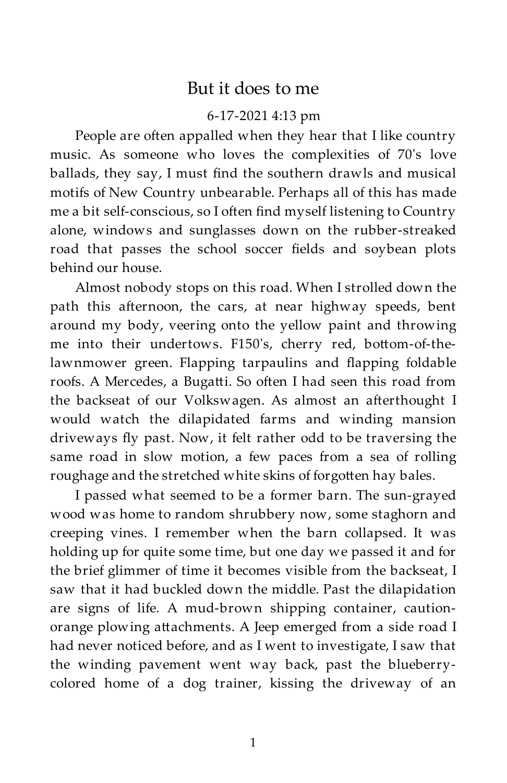## But it does to me

## 6-17-2021 4:13 pm

People are often appalled when they hear that I like country music. As someone who loves the complexities of 70's love ballads, they say, I must find the southern drawls and musical motifs of New Country unbearable. Perhaps all of this has made me a bit self-conscious, so I often find myself listening to Country alone, windows and sunglasses down on the rubber-streaked road that passes the school soccer fields and soybean plots behind our house.

Almost nobody stops on this road. When I strolled down the path this afternoon, the cars, at near highway speeds, bent around my body, veering onto the yellow paint and throwing me into their undertows. F150's, cherry red, bottom-of-thelawnmower green. Flapping tarpaulins and flapping foldable roofs. A Mercedes, a Bugatti. So often I had seen this road from the backseat of our Volkswagen. As almost an afterthought I would watch the dilapidated farms and winding mansion driveways fly past. Now, it felt rather odd to be traversing the same road in slow motion, a few paces from a sea of rolling roughage and the stretched white skins of forgotten hay bales.

I passed what seemed to be a former barn. The sun-grayed wood was home to random shrubbery now, some staghorn and creeping vines. I remember when the barn collapsed. It was holding up for quite some time, but one day we passed it and for the brief glimmer of time it becomes visible from the backseat, I saw that it had buckled down the middle. Past the dilapidation are signs of life. A mud-brown shipping container, cautionorange plowing attachments. A Jeep emerged from a side road I had never noticed before, and as I went to investigate, I saw that the winding pavement went way back, past the blueberrycolored home of a dog trainer, kissing the driveway of an

1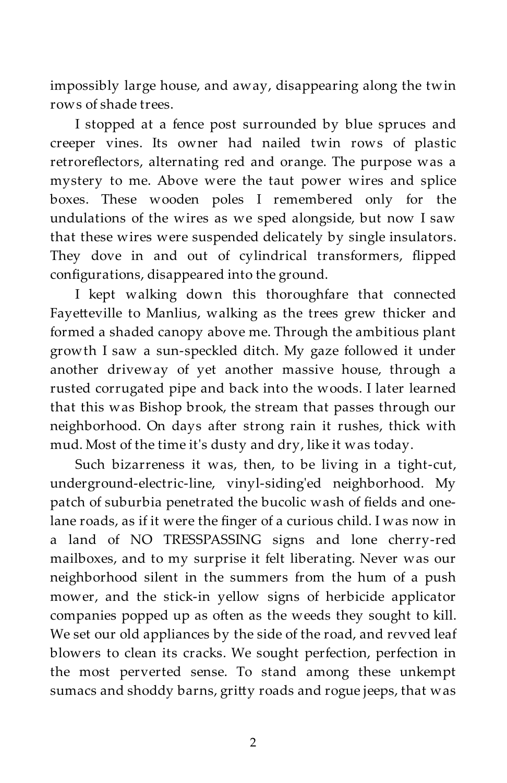impossibly large house, and away, disappearing along the twin rows of shade trees.

I stopped at a fence post surrounded by blue spruces and creeper vines. Its owner had nailed twin rows of plastic retroreflectors, alternating red and orange. The purpose was a mystery to me. Above were the taut power wires and splice boxes. These wooden poles I remembered only for the undulations of the wires as we sped alongside, but now I saw that these wires were suspended delicately by single insulators. They dove in and out of cylindrical transformers, flipped configurations, disappeared into the ground.

I kept walking down this thoroughfare that connected Fayetteville to Manlius, walking as the trees grew thicker and formed a shaded canopy above me. Through the ambitious plant growth I saw a sun-speckled ditch. My gaze followed it under another driveway of yet another massive house, through a rusted corrugated pipe and back into the woods. I later learned that this was Bishop brook, the stream that passes through our neighborhood. On days after strong rain it rushes, thick with mud. Most of the time it's dusty and dry, like it was today.

Such bizarreness it was, then, to be living in a tight-cut, underground-electric-line, vinyl-siding'ed neighborhood. My patch of suburbia penetrated the bucolic wash of fields and onelane roads, as if it were the finger of a curious child. I was now in a land of NO TRESSPASSING signs and lone cherry-red mailboxes, and to my surprise it felt liberating. Never was our neighborhood silent in the summers from the hum of a push mower, and the stick-in yellow signs of herbicide applicator companies popped up as often as the weeds they sought to kill. We set our old appliances by the side of the road, and revved leaf blowers to clean its cracks. We sought perfection, perfection in the most perverted sense. To stand among these unkempt sumacs and shoddy barns, gritty roads and rogue jeeps, that was